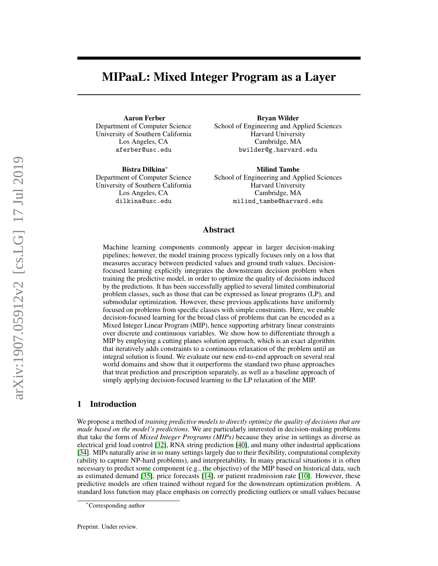# MIPaaL: Mixed Integer Program as a Layer

Aaron Ferber Department of Computer Science University of Southern California Los Angeles, CA aferber@usc.edu

Bistra Dilkina<sup>∗</sup> Department of Computer Science University of Southern California Los Angeles, CA dilkina@usc.edu

Bryan Wilder School of Engineering and Applied Sciences Harvard University Cambridge, MA bwilder@g.harvard.edu

Milind Tambe School of Engineering and Applied Sciences Harvard University Cambridge, MA milind\_tambe@harvard.edu

### Abstract

Machine learning components commonly appear in larger decision-making pipelines; however, the model training process typically focuses only on a loss that measures accuracy between predicted values and ground truth values. Decisionfocused learning explicitly integrates the downstream decision problem when training the predictive model, in order to optimize the quality of decisions induced by the predictions. It has been successfully applied to several limited combinatorial problem classes, such as those that can be expressed as linear programs (LP), and submodular optimization. However, these previous applications have uniformly focused on problems from specific classes with simple constraints. Here, we enable decision-focused learning for the broad class of problems that can be encoded as a Mixed Integer Linear Program (MIP), hence supporting arbitrary linear constraints over discrete and continuous variables. We show how to differentiate through a MIP by employing a cutting planes solution approach, which is an exact algorithm that iteratively adds constraints to a continuous relaxation of the problem until an integral solution is found. We evaluate our new end-to-end approach on several real world domains and show that it outperforms the standard two phase approaches that treat prediction and prescription separately, as well as a baseline approach of simply applying decision-focused learning to the LP relaxation of the MIP.

### 1 Introduction

We propose a method of *training predictive models to directly optimize the quality of decisions that are made based on the model's predictions*. We are particularly interested in decision-making problems that take the form of *Mixed Integer Programs (MIPs)* because they arise in settings as diverse as electrical grid load control [\[32\]](#page-10-0), RNA string prediction [\[40\]](#page-11-0), and many other industrial applications [\[34\]](#page-10-1). MIPs naturally arise in so many settings largely due to their flexibility, computational complexity (ability to capture NP-hard problems), and interpretability. In many practical situations it is often necessary to predict some component (e.g., the objective) of the MIP based on historical data, such as estimated demand [\[35\]](#page-10-2), price forecasts [\[14\]](#page-9-0), or patient readmission rate [\[10\]](#page-9-1). However, these predictive models are often trained without regard for the downstream optimization problem. A standard loss function may place emphasis on correctly predicting outliers or small values because

<sup>∗</sup>Corresponding author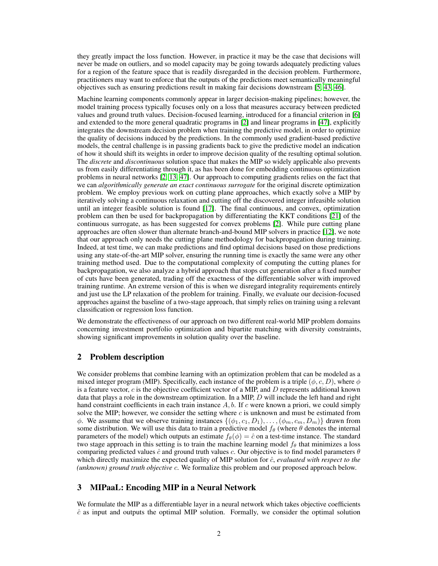they greatly impact the loss function. However, in practice it may be the case that decisions will never be made on outliers, and so model capacity may be going towards adequately predicting values for a region of the feature space that is readily disregarded in the decision problem. Furthermore, practitioners may want to enforce that the outputs of the predictions meet semantically meaningful objectives such as ensuring predictions result in making fair decisions downstream [\[5,](#page-9-2) [43,](#page-11-1) [46\]](#page-11-2).

Machine learning components commonly appear in larger decision-making pipelines; however, the model training process typically focuses only on a loss that measures accuracy between predicted values and ground truth values. Decision-focused learning, introduced for a financial criterion in [\[6\]](#page-9-3) and extended to the more general quadratic programs in [\[2\]](#page-9-4) and linear programs in [\[47\]](#page-11-3), explicitly integrates the downstream decision problem when training the predictive model, in order to optimize the quality of decisions induced by the predictions. In the commonly used gradient-based predictive models, the central challenge is in passing gradients back to give the predictive model an indication of how it should shift its weights in order to improve decision quality of the resulting optimal solution. The *discrete* and *discontinuous* solution space that makes the MIP so widely applicable also prevents us from easily differentiating through it, as has been done for embedding continuous optimization problems in neural networks [\[2,](#page-9-4) [13,](#page-9-5) [47\]](#page-11-3). Our approach to computing gradients relies on the fact that we can *algorithmically generate an exact continuous surrogate* for the original discrete optimization problem. We employ previous work on cutting plane approaches, which exactly solve a MIP by iteratively solving a continuous relaxation and cutting off the discovered integer infeasible solution until an integer feasible solution is found [\[17\]](#page-9-6). The final continuous, and convex, optimization problem can then be used for backpropagation by differentiating the KKT conditions [\[21\]](#page-10-3) of the continuous surrogate, as has been suggested for convex problems [\[2\]](#page-9-4). While pure cutting plane approaches are often slower than alternate branch-and-bound MIP solvers in practice [\[12\]](#page-9-7), we note that our approach only needs the cutting plane methodology for backpropagation during training. Indeed, at test time, we can make predictions and find optimal decisions based on those predictions using any state-of-the-art MIP solver, ensuring the running time is exactly the same were any other training method used. Due to the computational complexity of computing the cutting planes for backpropagation, we also analyze a hybrid approach that stops cut generation after a fixed number of cuts have been generated, trading off the exactness of the differentiable solver with improved training runtime. An extreme version of this is when we disregard integrality requirements entirely and just use the LP relaxation of the problem for training. Finally, we evaluate our decision-focused approaches against the baseline of a two-stage approach, that simply relies on training using a relevant classification or regression loss function.

We demonstrate the effectiveness of our approach on two different real-world MIP problem domains concerning investment portfolio optimization and bipartite matching with diversity constraints, showing significant improvements in solution quality over the baseline.

# 2 Problem description

We consider problems that combine learning with an optimization problem that can be modeled as a mixed integer program (MIP). Specifically, each instance of the problem is a triple ( $\phi$ , c, D), where  $\phi$ is a feature vector,  $c$  is the objective coefficient vector of a MIP, and  $D$  represents additional known data that plays a role in the downstream optimization. In a MIP,  $D$  will include the left hand and right hand constraint coefficients in each train instance  $A$ ,  $b$ . If c were known a priori, we could simply solve the MIP; however, we consider the setting where  $c$  is unknown and must be estimated from  $\phi$ . We assume that we observe training instances  $\{(\phi_1, c_1, D_1), \ldots, (\phi_m, c_m, D_m)\}\$  drawn from some distribution. We will use this data to train a predictive model  $f_\theta$  (where  $\theta$  denotes the internal parameters of the model) which outputs an estimate  $f_{\theta}(\phi) = \hat{c}$  on a test-time instance. The standard two stage approach in this setting is to train the machine learning model  $f_\theta$  that minimizes a loss comparing predicted values  $\hat{c}$  and ground truth values c. Our objective is to find model parameters  $\theta$ which directly maximize the expected quality of MIP solution for  $\hat{c}$ , *evaluated with respect to the (unknown) ground truth objective* c. We formalize this problem and our proposed approach below.

# 3 MIPaaL: Encoding MIP in a Neural Network

We formulate the MIP as a differentiable layer in a neural network which takes objective coefficients  $\hat{c}$  as input and outputs the optimal MIP solution. Formally, we consider the optimal solution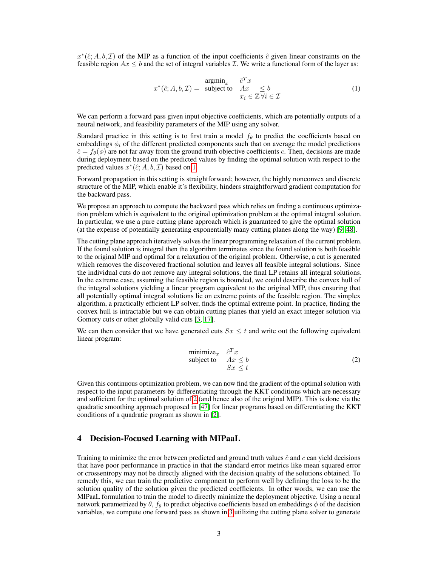$x^*(\hat{c}; A, b, \mathcal{I})$  of the MIP as a function of the input coefficients  $\hat{c}$  given linear constraints on the feasible region  $Ax \leq b$  and the set of integral variables *I*. We write a functional form of the layer as:

<span id="page-2-0"></span>
$$
x^*(\hat{c}; A, b, \mathcal{I}) = \begin{array}{ll}\n\text{argmin}_x & \hat{c}^T x \\
\text{subject to} & Ax \leq b \\
& x_i \in \mathbb{Z} \,\forall i \in \mathcal{I}\n\end{array} \tag{1}
$$

We can perform a forward pass given input objective coefficients, which are potentially outputs of a neural network, and feasibility parameters of the MIP using any solver.

Standard practice in this setting is to first train a model  $f_\theta$  to predict the coefficients based on embeddings  $\phi_i$  of the different predicted components such that on average the model predictions  $\hat{c} = f_{\theta}(\phi)$  are not far away from the ground truth objective coefficients c. Then, decisions are made during deployment based on the predicted values by finding the optimal solution with respect to the predicted values  $x^*(\hat{c}; A, b, \mathcal{I})$  based on [1.](#page-2-0)

Forward propagation in this setting is straightforward; however, the highly nonconvex and discrete structure of the MIP, which enable it's flexibility, hinders straightforward gradient computation for the backward pass.

We propose an approach to compute the backward pass which relies on finding a continuous optimization problem which is equivalent to the original optimization problem at the optimal integral solution. In particular, we use a pure cutting plane approach which is guaranteed to give the optimal solution (at the expense of potentially generating exponentially many cutting planes along the way) [\[9,](#page-9-8) [48\]](#page-11-4).

The cutting plane approach iteratively solves the linear programming relaxation of the current problem. If the found solution is integral then the algorithm terminates since the found solution is both feasible to the original MIP and optimal for a relaxation of the original problem. Otherwise, a cut is generated which removes the discovered fractional solution and leaves all feasible integral solutions. Since the individual cuts do not remove any integral solutions, the final LP retains all integral solutions. In the extreme case, assuming the feasible region is bounded, we could describe the convex hull of the integral solutions yielding a linear program equivalent to the original MIP, thus ensuring that all potentially optimal integral solutions lie on extreme points of the feasible region. The simplex algorithm, a practically efficient LP solver, finds the optimal extreme point. In practice, finding the convex hull is intractable but we can obtain cutting planes that yield an exact integer solution via Gomory cuts or other globally valid cuts [\[3,](#page-9-9) [17\]](#page-9-6).

<span id="page-2-1"></span>We can then consider that we have generated cuts  $S_x \leq t$  and write out the following equivalent linear program:

$$
\begin{array}{ll}\text{minimize}_{x} & \hat{c}^T x\\ \text{subject to} & Ax \leq b\\ & Sx \leq t \end{array} \tag{2}
$$

Given this continuous optimization problem, we can now find the gradient of the optimal solution with respect to the input parameters by differentiating through the KKT conditions which are necessary and sufficient for the optimal solution of [2](#page-2-1) (and hence also of the original MIP). This is done via the quadratic smoothing approach proposed in [\[47\]](#page-11-3) for linear programs based on differentiating the KKT conditions of a quadratic program as shown in [\[2\]](#page-9-4).

### 4 Decision-Focused Learning with MIPaaL

Training to minimize the error between predicted and ground truth values  $\hat{c}$  and c can yield decisions that have poor performance in practice in that the standard error metrics like mean squared error or crossentropy may not be directly aligned with the decision quality of the solutions obtained. To remedy this, we can train the predictive component to perform well by defining the loss to be the solution quality of the solution given the predicted coefficients. In other words, we can use the MIPaaL formulation to train the model to directly minimize the deployment objective. Using a neural network parametrized by  $\theta$ ,  $f_\theta$  to predict objective coefficients based on embeddings  $\phi$  of the decision variables, we compute one forward pass as shown in [3](#page-3-0) utilizing the cutting plane solver to generate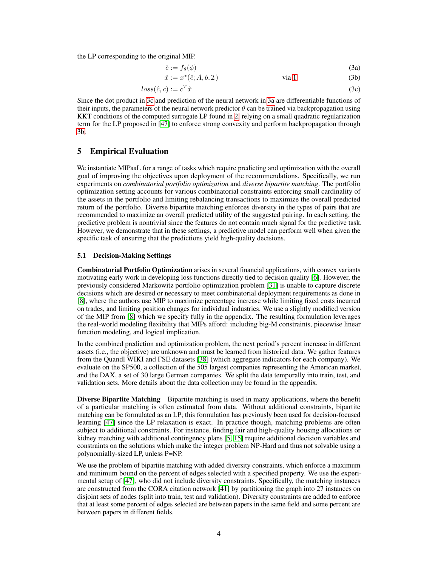the LP corresponding to the original MIP.

<span id="page-3-2"></span><span id="page-3-1"></span><span id="page-3-0"></span>
$$
\hat{c} := f_{\theta}(\phi) \tag{3a}
$$

$$
\hat{x} := x^*(\hat{c}; A, b, \mathcal{I}) \qquad \text{via } 1 \tag{3b}
$$

$$
loss(\hat{c}, c) := c^T \hat{x} \tag{3c}
$$

Since the dot product in [3c](#page-3-0) and prediction of the neural network in [3a](#page-3-1) are differentiable functions of their inputs, the parameters of the neural network predictor  $\theta$  can be trained via backpropagation using KKT conditions of the computed surrogate LP found in [2,](#page-2-1) relying on a small quadratic regularization term for the LP proposed in [\[47\]](#page-11-3) to enforce strong convexity and perform backpropagation through [3b.](#page-3-2)

## 5 Empirical Evaluation

We instantiate MIPaaL for a range of tasks which require predicting and optimization with the overall goal of improving the objectives upon deployment of the recommendations. Specifically, we run experiments on *combinatorial portfolio optimization* and *diverse bipartite matching*. The portfolio optimization setting accounts for various combinatorial constraints enforcing small cardinality of the assets in the portfolio and limiting rebalancing transactions to maximize the overall predicted return of the portfolio. Diverse bipartite matching enforces diversity in the types of pairs that are recommended to maximize an overall predicted utility of the suggested pairing. In each setting, the predictive problem is nontrivial since the features do not contain much signal for the predictive task. However, we demonstrate that in these settings, a predictive model can perform well when given the specific task of ensuring that the predictions yield high-quality decisions.

### 5.1 Decision-Making Settings

Combinatorial Portfolio Optimization arises in several financial applications, with convex variants motivating early work in developing loss functions directly tied to decision quality [\[6\]](#page-9-3). However, the previously considered Markowitz portfolio optimization problem [\[31\]](#page-10-4) is unable to capture discrete decisions which are desired or necessary to meet combinatorial deployment requirements as done in [\[8\]](#page-9-10), where the authors use MIP to maximize percentage increase while limiting fixed costs incurred on trades, and limiting position changes for individual industries. We use a slightly modified version of the MIP from [\[8\]](#page-9-10) which we specify fully in the appendix. The resulting formulation leverages the real-world modeling flexibility that MIPs afford: including big-M constraints, piecewise linear function modeling, and logical implication.

In the combined prediction and optimization problem, the next period's percent increase in different assets (i.e., the objective) are unknown and must be learned from historical data. We gather features from the Quandl WIKI and FSE datasets [\[38\]](#page-10-5) (which aggregate indicators for each company). We evaluate on the SP500, a collection of the 505 largest companies representing the American market, and the DAX, a set of 30 large German companies. We split the data temporally into train, test, and validation sets. More details about the data collection may be found in the appendix.

**Diverse Bipartite Matching** Bipartite matching is used in many applications, where the benefit of a particular matching is often estimated from data. Without additional constraints, bipartite matching can be formulated as an LP; this formulation has previously been used for decision-focused learning [\[47\]](#page-11-3) since the LP relaxation is exact. In practice though, matching problems are often subject to additional constraints. For instance, finding fair and high-quality housing allocations or kidney matching with additional contingency plans [\[5,](#page-9-2) [15\]](#page-9-11) require additional decision variables and constraints on the solutions which make the integer problem NP-Hard and thus not solvable using a polynomially-sized LP, unless P=NP.

We use the problem of bipartite matching with added diversity constraints, which enforce a maximum and minimum bound on the percent of edges selected with a specified property. We use the experimental setup of [\[47\]](#page-11-3), who did not include diversity constraints. Specifically, the matching instances are constructed from the CORA citation network [\[41\]](#page-11-5) by partitioning the graph into 27 instances on disjoint sets of nodes (split into train, test and validation). Diversity constraints are added to enforce that at least some percent of edges selected are between papers in the same field and some percent are between papers in different fields.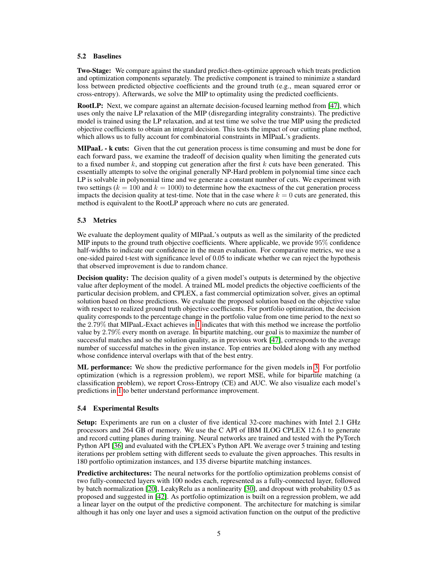### 5.2 Baselines

Two-Stage: We compare against the standard predict-then-optimize approach which treats prediction and optimization components separately. The predictive component is trained to minimize a standard loss between predicted objective coefficients and the ground truth (e.g., mean squared error or cross-entropy). Afterwards, we solve the MIP to optimality using the predicted coefficients.

RootLP: Next, we compare against an alternate decision-focused learning method from [\[47\]](#page-11-3), which uses only the naive LP relaxation of the MIP (disregarding integrality constraints). The predictive model is trained using the LP relaxation, and at test time we solve the true MIP using the predicted objective coefficients to obtain an integral decision. This tests the impact of our cutting plane method, which allows us to fully account for combinatorial constraints in MIPaaL's gradients.

**MIPaaL - k cuts:** Given that the cut generation process is time consuming and must be done for each forward pass, we examine the tradeoff of decision quality when limiting the generated cuts to a fixed number  $k$ , and stopping cut generation after the first  $k$  cuts have been generated. This essentially attempts to solve the original generally NP-Hard problem in polynomial time since each LP is solvable in polynomial time and we generate a constant number of cuts. We experiment with two settings  $(k = 100$  and  $k = 1000)$  to determine how the exactness of the cut generation process impacts the decision quality at test-time. Note that in the case where  $k = 0$  cuts are generated, this method is equivalent to the RootLP approach where no cuts are generated.

### 5.3 Metrics

We evaluate the deployment quality of MIPaaL's outputs as well as the similarity of the predicted MIP inputs to the ground truth objective coefficients. Where applicable, we provide 95% confidence half-widths to indicate our confidence in the mean evaluation. For comparative metrics, we use a one-sided paired t-test with significance level of 0.05 to indicate whether we can reject the hypothesis that observed improvement is due to random chance.

**Decision quality:** The decision quality of a given model's outputs is determined by the objective value after deployment of the model. A trained ML model predicts the objective coefficients of the particular decision problem, and CPLEX, a fast commercial optimization solver, gives an optimal solution based on those predictions. We evaluate the proposed solution based on the objective value with respect to realized ground truth objective coefficients. For portfolio optimization, the decision quality corresponds to the percentage change in the portfolio value from one time period to the next so the 2.79% that MIPaaL-Exact achieves in [1](#page-5-0) indicates that with this method we increase the portfolio value by 2.79% every month on average. In bipartite matching, our goal is to maximize the number of successful matches and so the solution quality, as in previous work [\[47\]](#page-11-3), corresponds to the average number of successful matches in the given instance. Top entries are bolded along with any method whose confidence interval overlaps with that of the best entry.

**ML performance:** We show the predictive performance for the given models in [3.](#page-6-0) For portfolio optimization (which is a regression problem), we report MSE, while for bipartite matching (a classification problem), we report Cross-Entropy (CE) and AUC. We also visualize each model's predictions in [1](#page-6-1) to better understand performance improvement.

#### 5.4 Experimental Results

Setup: Experiments are run on a cluster of five identical 32-core machines with Intel 2.1 GHz processors and 264 GB of memory. We use the C API of IBM ILOG CPLEX 12.6.1 to generate and record cutting planes during training. Neural networks are trained and tested with the PyTorch Python API [\[36\]](#page-10-6) and evaluated with the CPLEX's Python API. We average over 5 training and testing iterations per problem setting with different seeds to evaluate the given approaches. This results in 180 portfolio optimization instances, and 135 diverse bipartite matching instances.

**Predictive architectures:** The neural networks for the portfolio optimization problems consist of two fully-connected layers with 100 nodes each, represented as a fully-connected layer, followed by batch normalization [\[20\]](#page-10-7), LeakyRelu as a nonlinearity [\[30\]](#page-10-8), and dropout with probability 0.5 as proposed and suggested in [\[42\]](#page-11-6). As portfolio optimization is built on a regression problem, we add a linear layer on the output of the predictive component. The architecture for matching is similar although it has only one layer and uses a sigmoid activation function on the output of the predictive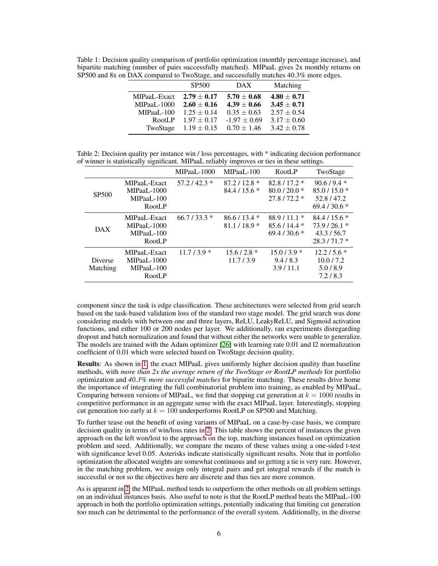<span id="page-5-0"></span>Table 1: Decision quality comparison of portfolio optimization (monthly percentage increase), and bipartite matching (number of pairs successfully matched). MIPaaL gives 2x monthly returns on SP500 and 8x on DAX compared to TwoStage, and successfully matches 40.3% more edges.

|              | <b>SP500</b>    | <b>DAX</b>       | Matching        |
|--------------|-----------------|------------------|-----------------|
| MIPaaL-Exact | $2.79 + 0.17$   | $5.70 \pm 0.68$  | $4.80 \pm 0.71$ |
| MIPaaL-1000  | $2.60 \pm 0.16$ | $4.39 \pm 0.66$  | $3.45 \pm 0.71$ |
| MIPaaL-100   | $1.25 \pm 0.14$ | $0.35 \pm 0.63$  | $2.57 \pm 0.54$ |
| RootLP       | $1.97 \pm 0.17$ | $-1.97 \pm 0.69$ | $3.17 \pm 0.60$ |
| TwoStage     | $1.19 \pm 0.15$ | $0.70 \pm 1.46$  | $3.42 \pm 0.78$ |

<span id="page-5-1"></span>Table 2: Decision quality per instance win / loss percentages, with \* indicating decision performance of winner is statistically significant. MIPaaL reliably improves or ties in these settings.

|                            |                                                            | MIPaaL-1000  | MIPaaL-100                   | <b>RootLP</b>                                  | TwoStage                                                    |
|----------------------------|------------------------------------------------------------|--------------|------------------------------|------------------------------------------------|-------------------------------------------------------------|
| SP <sub>500</sub>          | MIPaaL-Exact<br>MIPaaL-1000<br>MIPaaL-100<br><b>RootLP</b> | $57.2/42.3*$ | $87.2/12.8*$<br>$84.4/15.6*$ | $82.8/17.2*$<br>$80.0 / 20.0*$<br>$27.8/72.2*$ | $90.6 / 9.4 *$<br>$85.0/15.0*$<br>52.8/47.2<br>$69.4/30.6*$ |
| <b>DAX</b>                 | MIPaaL-Exact<br>MIPaaL-1000<br>MIPaaL-100<br><b>RootLP</b> | $66.7/33.3*$ | $86.6/13.4*$<br>$81.1/18.9*$ | $88.9/11.1*$<br>$85.6/14.4*$<br>$69.4/30.6*$   | $84.4/15.6*$<br>$73.9/26.1*$<br>43.3/56.7<br>$28.3/71.7*$   |
| <b>Diverse</b><br>Matching | MIPaaL-Exact<br>MIPaaL-1000<br>MIPaaL-100<br><b>RootLP</b> | $11.7/3.9*$  | $15.6/2.8*$<br>11.7/3.9      | $15.0 / 3.9 *$<br>9.4/8.3<br>3.9/11.1          | $12.2/5.6*$<br>10.0 / 7.2<br>5.0/8.9<br>7.2/8.3             |

component since the task is edge classification. These architectures were selected from grid search based on the task-based validation loss of the standard two stage model. The grid search was done considering models with between one and three layers, ReLU, LeakyReLU, and Sigmoid activation functions, and either 100 or 200 nodes per layer. We additionally, ran experiments disregarding dropout and batch normalization and found that without either the networks were unable to generalize. The models are trained with the Adam optimizer [\[26\]](#page-10-9) with learning rate 0.01 and l2 normalization coefficient of 0.01 which were selected based on TwoStage decision quality.

Results: As shown in [1,](#page-5-0) the exact MIPaaL gives uniformly higher decision quality than baseline methods, with *more than 2x the average return of the TwoStage or RootLP methods* for portfolio optimization and *40.3% more successful matches* for biparite matching. These results drive home the importance of integrating the full combinatorial problem into training, as enabled by MIPaaL. Comparing between versions of MIPaaL, we find that stopping cut generation at  $k = 1000$  results in competitive performance in an aggregate sense with the exact MIPaaL layer. Interestingly, stopping cut generation too early at  $k = 100$  underperforms RootLP on SP500 and Matching.

To further tease out the benefit of using variants of MIPaaL on a case-by-case basis, we compare decision quality in terms of win/loss rates in [2.](#page-5-1) This table shows the percent of instances the given approach on the left won/lost to the approach on the top, matching instances based on optimization problem and seed. Additionally, we compare the means of these values using a one-sided t-test with significance level 0.05. Asterisks indicate statistically significant results. Note that in portfolio optimization the allocated weights are somewhat continuous and so getting a tie is very rare. However, in the matching problem, we assign only integral pairs and get integral rewards if the match is successful or not so the objectives here are discrete and thus ties are more common.

As is apparent in [2,](#page-5-1) the MIPaaL method tends to outperform the other methods on all problem settings on an individual instances basis. Also useful to note is that the RootLP method beats the MIPaaL-100 approach in both the portfolio optimization settings, potentially indicating that limiting cut generation too much can be detrimental to the performance of the overall system. Additionally, in the diverse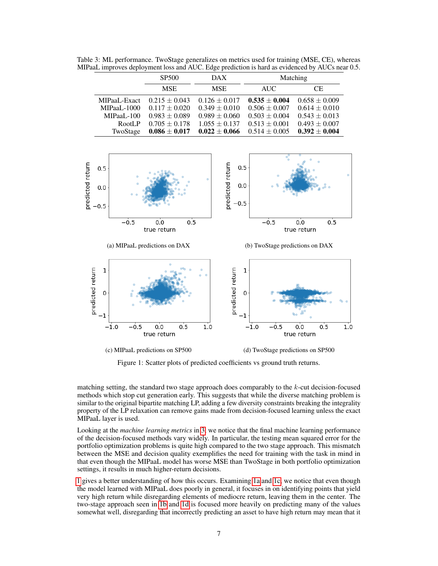|              | <b>SP500</b>      | DAX.              |                   | Matching          |
|--------------|-------------------|-------------------|-------------------|-------------------|
|              | <b>MSE</b>        | <b>MSE</b>        | <b>AUC</b>        | CE.               |
| MIPaaL-Exact | $0.215 \pm 0.043$ | $0.126 \pm 0.017$ | $0.535 \pm 0.004$ | $0.658 \pm 0.009$ |
| MIPaaL-1000  | $0.117 \pm 0.020$ | $0.349 \pm 0.010$ | $0.506 \pm 0.007$ | $0.614 \pm 0.010$ |
| MIPaaL-100   | $0.983 \pm 0.089$ | $0.989 \pm 0.060$ | $0.503 \pm 0.004$ | $0.543 \pm 0.013$ |
| RootLP       | $0.705 \pm 0.178$ | $1.055 \pm 0.137$ | $0.513 \pm 0.001$ | $0.493 \pm 0.007$ |
| TwoStage     | $0.086 \pm 0.017$ | $0.022 \pm 0.066$ | $0.514 \pm 0.005$ | $0.392 \pm 0.004$ |

<span id="page-6-0"></span>Table 3: ML performance. TwoStage generalizes on metrics used for training (MSE, CE), whereas MIPaaL improves deployment loss and AUC. Edge prediction is hard as evidenced by AUCs near 0.5.

<span id="page-6-1"></span>

Figure 1: Scatter plots of predicted coefficients vs ground truth returns.

matching setting, the standard two stage approach does comparably to the k-cut decision-focused methods which stop cut generation early. This suggests that while the diverse matching problem is similar to the original bipartite matching LP, adding a few diversity constraints breaking the integrality property of the LP relaxation can remove gains made from decision-focused learning unless the exact MIPaaL layer is used.

Looking at the *machine learning metrics* in [3,](#page-6-0) we notice that the final machine learning performance of the decision-focused methods vary widely. In particular, the testing mean squared error for the portfolio optimization problems is quite high compared to the two stage approach. This mismatch between the MSE and decision quality exemplifies the need for training with the task in mind in that even though the MIPaaL model has worse MSE than TwoStage in both portfolio optimization settings, it results in much higher-return decisions.

[1](#page-6-1) gives a better understanding of how this occurs. Examining [1a](#page-6-1) and [1c,](#page-6-1) we notice that even though the model learned with MIPaaL does poorly in general, it focuses in on identifying points that yield very high return while disregarding elements of mediocre return, leaving them in the center. The two-stage approach seen in [1b](#page-6-1) and [1d](#page-6-1) is focused more heavily on predicting many of the values somewhat well, disregarding that incorrectly predicting an asset to have high return may mean that it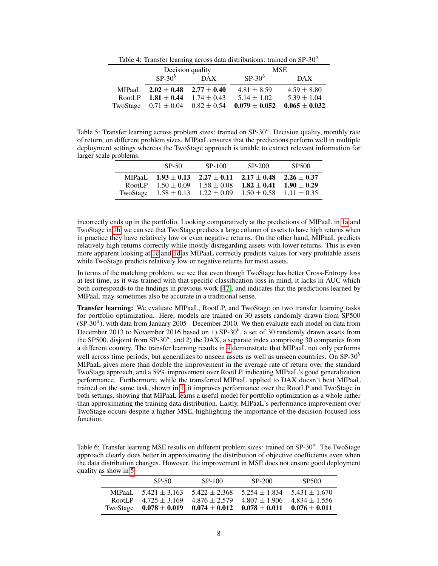Table 4: Transfer learning across data distributions: trained on  $SP-30<sup>a</sup>$ 

<span id="page-7-0"></span>

|        | Decision quality                         |                  | <b>MSE</b>      |                   |
|--------|------------------------------------------|------------------|-----------------|-------------------|
|        | $SP-30^b$                                | $\overline{DAX}$ | $SP-30^b$       | DAX.              |
| MIPaaL | $2.02 \pm 0.48$ $2.77 \pm 0.40$          |                  | $4.81 \pm 8.59$ | $4.59 \pm 8.80$   |
| RootLP | $1.81 \pm 0.44$ $1.74 \pm 0.43$          |                  | $5.14 \pm 1.02$ | $5.39 \pm 1.04$   |
|        | TwoStage $0.71 \pm 0.04$ $0.82 \pm 0.54$ |                  | $0.079\pm0.052$ | $0.065 \pm 0.032$ |

<span id="page-7-1"></span>Table 5: Transfer learning across problem sizes: trained on SP-30<sup>a</sup>. Decision quality, monthly rate of return, on different problem sizes. MIPaaL ensures that the predictions perform well in multiple deployment settings whereas the TwoStage approach is unable to extract relevant information for larger scale problems.

|        | SP-50                                                                     | SP-100 | SP-200                                                                                                         | SP <sub>500</sub>                |
|--------|---------------------------------------------------------------------------|--------|----------------------------------------------------------------------------------------------------------------|----------------------------------|
| MIPaaL | $1.93 \pm 0.13$ $2.27 \pm 0.11$<br>RootLP $1.50 \pm 0.09$ $1.58 \pm 0.08$ |        | $2.17 \pm 0.48$<br>$1.82 \pm 0.41$<br>TwoStage $1.58 \pm 0.13$ $1.22 \pm 0.09$ $1.50 \pm 0.58$ $1.11 \pm 0.35$ | $2.26 \pm 0.37$<br>$1.90 + 0.29$ |

incorrectly ends up in the portfolio. Looking comparatively at the predictions of MIPaaL in [1a](#page-6-1) and TwoStage in [1b,](#page-6-1) we can see that TwoStage predicts a large column of assets to have high returns when in practice they have relatively low or even negative returns. On the other hand, MIPaaL predicts relatively high returns correctly while mostly disregarding assets with lower returns. This is even more apparent looking at [1c](#page-6-1) and [1d](#page-6-1) as MIPaaL correctly predicts values for very profitable assets while TwoStage predicts relatively low or negative returns for most assets.

In terms of the matching problem, we see that even though TwoStage has better Cross-Entropy loss at test time, as it was trained with that specific classification loss in mind, it lacks in AUC which both corresponds to the findings in previous work [\[47\]](#page-11-3), and indicates that the predictions learned by MIPaaL may sometimes also be accurate in a traditional sense.

Transfer learning: We evaluate MIPaaL, RootLP, and TwoStage on two transfer learning tasks for portfolio optimization. Here, models are trained on 30 assets randomly drawn from SP500  $(SP-30<sup>a</sup>)$ , with data from January 2005 - December 2010. We then evaluate each model on data from December 2013 to November 2016 based on 1) SP-30<sup>b</sup>, a set of 30 randomly drawn assets from the SP500, disjoint from SP-30<sup> $a$ </sup>, and 2) the DAX, a separate index comprising 30 companies from a different country. The transfer learning results in [4](#page-7-0) demonstrate that MIPaaL not only performs well across time periods, but generalizes to unseen assets as well as unseen countries. On SP-30 $\degree$ MIPaaL gives more than double the improvement in the average rate of return over the standard TwoStage approach, and a 59% improvement over RootLP, indicating MIPaaL's good generalization performance. Furthermore, while the transferred MIPaaL applied to DAX doesn't beat MIPaaL trained on the same task, shown in [1,](#page-5-0) it improves performance over the RootLP and TwoStage in both settings, showing that MIPaaL learns a useful model for portfolio optimization as a whole rather than approximating the training data distribution. Lastly, MIPaaL's performance improvement over TwoStage occurs despite a higher MSE, highlighting the importance of the decision-focused loss function.

<span id="page-7-2"></span>Table 6: Transfer learning MSE results on different problem sizes: trained on SP-30<sup>a</sup>. The TwoStage approach clearly does better in approximating the distribution of objective coefficients even when the data distribution changes. However, the improvement in MSE does not ensure good deployment quality as show in [5](#page-7-1)

|         | $SP-50$                                                                          | SP-100                              | SP-200            | SP500           |
|---------|----------------------------------------------------------------------------------|-------------------------------------|-------------------|-----------------|
| MIPaaL. | $5.421 + 3.163$                                                                  | $5.422 + 2.368$                     | $5.254 \pm 1.834$ | $5.431 + 1.670$ |
| RootLP  | $4.725 + 3.169$                                                                  | $4.876 \pm 2.579$ $4.807 \pm 1.906$ |                   | $4.834 + 1.556$ |
|         | TwoStage $0.078 \pm 0.019$ $0.074 \pm 0.012$ $0.078 \pm 0.011$ $0.076 \pm 0.011$ |                                     |                   |                 |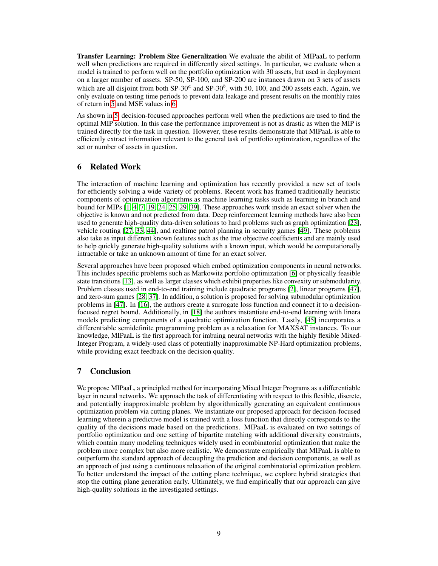Transfer Learning: Problem Size Generalization We evaluate the abilit of MIPaaL to perform well when predictions are required in differently sized settings. In particular, we evaluate when a model is trained to perform well on the portfolio optimization with 30 assets, but used in deployment on a larger number of assets. SP-50, SP-100, and SP-200 are instances drawn on 3 sets of assets which are all disjoint from both SP-30<sup> $a$ </sup> and SP-30<sup> $b$ </sup>, with 50, 100, and 200 assets each. Again, we only evaluate on testing time periods to prevent data leakage and present results on the monthly rates of return in [5](#page-7-1) and MSE values in [6.](#page-7-2)

As shown in [5,](#page-7-1) decision-focused approaches perform well when the predictions are used to find the optimal MIP solution. In this case the performance improvement is not as drastic as when the MIP is trained directly for the task in question. However, these results demonstrate that MIPaaL is able to efficiently extract information relevant to the general task of portfolio optimization, regardless of the set or number of assets in question.

# 6 Related Work

The interaction of machine learning and optimization has recently provided a new set of tools for efficiently solving a wide variety of problems. Recent work has framed traditionally heuristic components of optimization algorithms as machine learning tasks such as learning in branch and bound for MIPs [\[1,](#page-9-12) [4,](#page-9-13) [7,](#page-9-14) [19,](#page-9-15) [24,](#page-10-10) [25,](#page-10-11) [29,](#page-10-12) [39\]](#page-11-7). These approaches work inside an exact solver when the objective is known and not predicted from data. Deep reinforcement learning methods have also been used to generate high-quality data-driven solutions to hard problems such as graph optimization [\[23\]](#page-10-13), vehicle routing [\[27,](#page-10-14) [33,](#page-10-15) [44\]](#page-11-8), and realtime patrol planning in security games [\[49\]](#page-11-9). These problems also take as input different known features such as the true objective coefficients and are mainly used to help quickly generate high-quality solutions with a known input, which would be computationally intractable or take an unknown amount of time for an exact solver.

Several approaches have been proposed which embed optimization components in neural networks. This includes specific problems such as Markowitz portfolio optimization [\[6\]](#page-9-3) or physically feasible state transitions [\[13\]](#page-9-5), as well as larger classes which exhibit properties like convexity or submodularity. Problem classes used in end-to-end training include quadratic programs [\[2\]](#page-9-4), linear programs [\[47\]](#page-11-3), and zero-sum games [\[28,](#page-10-16) [37\]](#page-10-17). In addition, a solution is proposed for solving submodular optimization problems in [\[47\]](#page-11-3). In [\[16\]](#page-9-16), the authors create a surrogate loss function and connect it to a decisionfocused regret bound. Additionally, in [\[18\]](#page-9-17) the authors instantiate end-to-end learning with linera models predicting components of a quadratic optimization function. Lastly, [\[45\]](#page-11-10) incorporates a differentiable semidefinite programming problem as a relaxation for MAXSAT instances. To our knowledge, MIPaaL is the first approach for imbuing neural networks with the highly flexible Mixed-Integer Program, a widely-used class of potentially inapproximable NP-Hard optimization problems, while providing exact feedback on the decision quality.

# 7 Conclusion

We propose MIPaaL, a principled method for incorporating Mixed Integer Programs as a differentiable layer in neural networks. We approach the task of differentiating with respect to this flexible, discrete, and potentially inapproximable problem by algorithmically generating an equivalent continuous optimization problem via cutting planes. We instantiate our proposed approach for decision-focused learning wherein a predictive model is trained with a loss function that directly corresponds to the quality of the decisions made based on the predictions. MIPaaL is evaluated on two settings of portfolio optimization and one setting of bipartite matching with additional diversity constraints, which contain many modeling techniques widely used in combinatorial optimization that make the problem more complex but also more realistic. We demonstrate empirically that MIPaaL is able to outperform the standard approach of decoupling the prediction and decision components, as well as an approach of just using a continuous relaxation of the original combinatorial optimization problem. To better understand the impact of the cutting plane technique, we explore hybrid strategies that stop the cutting plane generation early. Ultimately, we find empirically that our approach can give high-quality solutions in the investigated settings.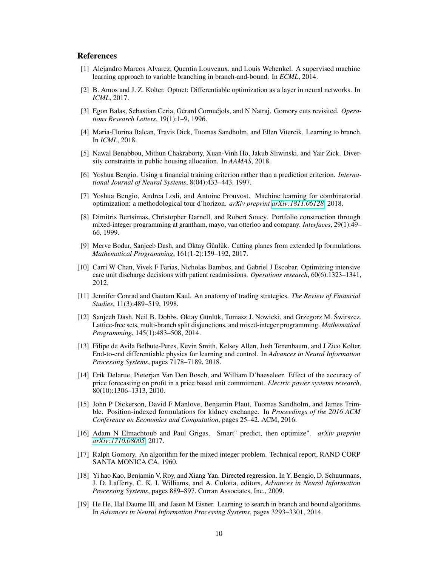# **References**

- <span id="page-9-12"></span>[1] Alejandro Marcos Alvarez, Quentin Louveaux, and Louis Wehenkel. A supervised machine learning approach to variable branching in branch-and-bound. In *ECML*, 2014.
- <span id="page-9-4"></span>[2] B. Amos and J. Z. Kolter. Optnet: Differentiable optimization as a layer in neural networks. In *ICML*, 2017.
- <span id="page-9-9"></span>[3] Egon Balas, Sebastian Ceria, Gérard Cornuéjols, and N Natraj. Gomory cuts revisited. *Operations Research Letters*, 19(1):1–9, 1996.
- <span id="page-9-13"></span>[4] Maria-Florina Balcan, Travis Dick, Tuomas Sandholm, and Ellen Vitercik. Learning to branch. In *ICML*, 2018.
- <span id="page-9-2"></span>[5] Nawal Benabbou, Mithun Chakraborty, Xuan-Vinh Ho, Jakub Sliwinski, and Yair Zick. Diversity constraints in public housing allocation. In *AAMAS*, 2018.
- <span id="page-9-3"></span>[6] Yoshua Bengio. Using a financial training criterion rather than a prediction criterion. *International Journal of Neural Systems*, 8(04):433–443, 1997.
- <span id="page-9-14"></span>[7] Yoshua Bengio, Andrea Lodi, and Antoine Prouvost. Machine learning for combinatorial optimization: a methodological tour d'horizon. *arXiv preprint [arXiv:1811.06128](http://arxiv.org/abs/1811.06128)*, 2018.
- <span id="page-9-10"></span>[8] Dimitris Bertsimas, Christopher Darnell, and Robert Soucy. Portfolio construction through mixed-integer programming at grantham, mayo, van otterloo and company. *Interfaces*, 29(1):49– 66, 1999.
- <span id="page-9-8"></span>[9] Merve Bodur, Sanjeeb Dash, and Oktay Günlük. Cutting planes from extended lp formulations. *Mathematical Programming*, 161(1-2):159–192, 2017.
- <span id="page-9-1"></span>[10] Carri W Chan, Vivek F Farias, Nicholas Bambos, and Gabriel J Escobar. Optimizing intensive care unit discharge decisions with patient readmissions. *Operations research*, 60(6):1323–1341, 2012.
- <span id="page-9-18"></span>[11] Jennifer Conrad and Gautam Kaul. An anatomy of trading strategies. *The Review of Financial Studies*, 11(3):489–519, 1998.
- <span id="page-9-7"></span>[12] Sanjeeb Dash, Neil B. Dobbs, Oktay Günlük, Tomasz J. Nowicki, and Grzegorz M. Swirszcz. ´ Lattice-free sets, multi-branch split disjunctions, and mixed-integer programming. *Mathematical Programming*, 145(1):483–508, 2014.
- <span id="page-9-5"></span>[13] Filipe de Avila Belbute-Peres, Kevin Smith, Kelsey Allen, Josh Tenenbaum, and J Zico Kolter. End-to-end differentiable physics for learning and control. In *Advances in Neural Information Processing Systems*, pages 7178–7189, 2018.
- <span id="page-9-0"></span>[14] Erik Delarue, Pieterjan Van Den Bosch, and William D'haeseleer. Effect of the accuracy of price forecasting on profit in a price based unit commitment. *Electric power systems research*, 80(10):1306–1313, 2010.
- <span id="page-9-11"></span>[15] John P Dickerson, David F Manlove, Benjamin Plaut, Tuomas Sandholm, and James Trimble. Position-indexed formulations for kidney exchange. In *Proceedings of the 2016 ACM Conference on Economics and Computation*, pages 25–42. ACM, 2016.
- <span id="page-9-16"></span>[16] Adam N Elmachtoub and Paul Grigas. Smart" predict, then optimize". *arXiv preprint [arXiv:1710.08005](http://arxiv.org/abs/1710.08005)*, 2017.
- <span id="page-9-6"></span>[17] Ralph Gomory. An algorithm for the mixed integer problem. Technical report, RAND CORP SANTA MONICA CA, 1960.
- <span id="page-9-17"></span>[18] Yi hao Kao, Benjamin V. Roy, and Xiang Yan. Directed regression. In Y. Bengio, D. Schuurmans, J. D. Lafferty, C. K. I. Williams, and A. Culotta, editors, *Advances in Neural Information Processing Systems*, pages 889–897. Curran Associates, Inc., 2009.
- <span id="page-9-15"></span>[19] He He, Hal Daume III, and Jason M Eisner. Learning to search in branch and bound algorithms. In *Advances in Neural Information Processing Systems*, pages 3293–3301, 2014.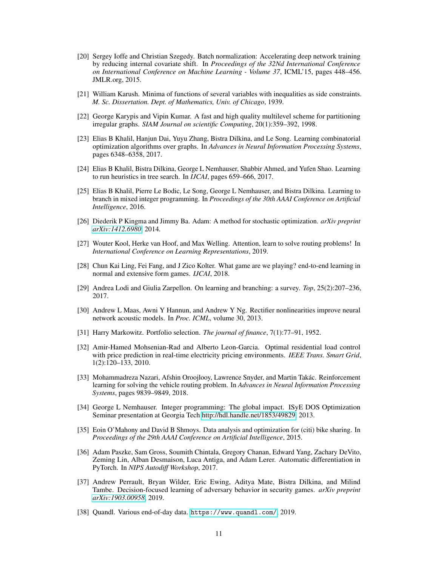- <span id="page-10-7"></span>[20] Sergey Ioffe and Christian Szegedy. Batch normalization: Accelerating deep network training by reducing internal covariate shift. In *Proceedings of the 32Nd International Conference on International Conference on Machine Learning - Volume 37*, ICML'15, pages 448–456. JMLR.org, 2015.
- <span id="page-10-3"></span>[21] William Karush. Minima of functions of several variables with inequalities as side constraints. *M. Sc. Dissertation. Dept. of Mathematics, Univ. of Chicago*, 1939.
- <span id="page-10-18"></span>[22] George Karypis and Vipin Kumar. A fast and high quality multilevel scheme for partitioning irregular graphs. *SIAM Journal on scientific Computing*, 20(1):359–392, 1998.
- <span id="page-10-13"></span>[23] Elias B Khalil, Hanjun Dai, Yuyu Zhang, Bistra Dilkina, and Le Song. Learning combinatorial optimization algorithms over graphs. In *Advances in Neural Information Processing Systems*, pages 6348–6358, 2017.
- <span id="page-10-10"></span>[24] Elias B Khalil, Bistra Dilkina, George L Nemhauser, Shabbir Ahmed, and Yufen Shao. Learning to run heuristics in tree search. In *IJCAI*, pages 659–666, 2017.
- <span id="page-10-11"></span>[25] Elias B Khalil, Pierre Le Bodic, Le Song, George L Nemhauser, and Bistra Dilkina. Learning to branch in mixed integer programming. In *Proceedings of the 30th AAAI Conference on Artificial Intelligence*, 2016.
- <span id="page-10-9"></span>[26] Diederik P Kingma and Jimmy Ba. Adam: A method for stochastic optimization. *arXiv preprint [arXiv:1412.6980](http://arxiv.org/abs/1412.6980)*, 2014.
- <span id="page-10-14"></span>[27] Wouter Kool, Herke van Hoof, and Max Welling. Attention, learn to solve routing problems! In *International Conference on Learning Representations*, 2019.
- <span id="page-10-16"></span>[28] Chun Kai Ling, Fei Fang, and J Zico Kolter. What game are we playing? end-to-end learning in normal and extensive form games. *IJCAI*, 2018.
- <span id="page-10-12"></span>[29] Andrea Lodi and Giulia Zarpellon. On learning and branching: a survey. *Top*, 25(2):207–236, 2017.
- <span id="page-10-8"></span>[30] Andrew L Maas, Awni Y Hannun, and Andrew Y Ng. Rectifier nonlinearities improve neural network acoustic models. In *Proc. ICML*, volume 30, 2013.
- <span id="page-10-4"></span>[31] Harry Markowitz. Portfolio selection. *The journal of finance*, 7(1):77–91, 1952.
- <span id="page-10-0"></span>[32] Amir-Hamed Mohsenian-Rad and Alberto Leon-Garcia. Optimal residential load control with price prediction in real-time electricity pricing environments. *IEEE Trans. Smart Grid*, 1(2):120–133, 2010.
- <span id="page-10-15"></span>[33] Mohammadreza Nazari, Afshin Oroojlooy, Lawrence Snyder, and Martin Takác. Reinforcement learning for solving the vehicle routing problem. In *Advances in Neural Information Processing Systems*, pages 9839–9849, 2018.
- <span id="page-10-1"></span>[34] George L Nemhauser. Integer programming: The global impact. ISyE DOS Optimization Seminar presentation at Georgia Tech [http://hdl.handle.net/1853/49829,](http://hdl.handle.net/1853/49829) 2013.
- <span id="page-10-2"></span>[35] Eoin O'Mahony and David B Shmoys. Data analysis and optimization for (citi) bike sharing. In *Proceedings of the 29th AAAI Conference on Artificial Intelligence*, 2015.
- <span id="page-10-6"></span>[36] Adam Paszke, Sam Gross, Soumith Chintala, Gregory Chanan, Edward Yang, Zachary DeVito, Zeming Lin, Alban Desmaison, Luca Antiga, and Adam Lerer. Automatic differentiation in PyTorch. In *NIPS Autodiff Workshop*, 2017.
- <span id="page-10-17"></span>[37] Andrew Perrault, Bryan Wilder, Eric Ewing, Aditya Mate, Bistra Dilkina, and Milind Tambe. Decision-focused learning of adversary behavior in security games. *arXiv preprint [arXiv:1903.00958](http://arxiv.org/abs/1903.00958)*, 2019.
- <span id="page-10-5"></span>[38] Quandl. Various end-of-day data. <https://www.quandl.com/>, 2019.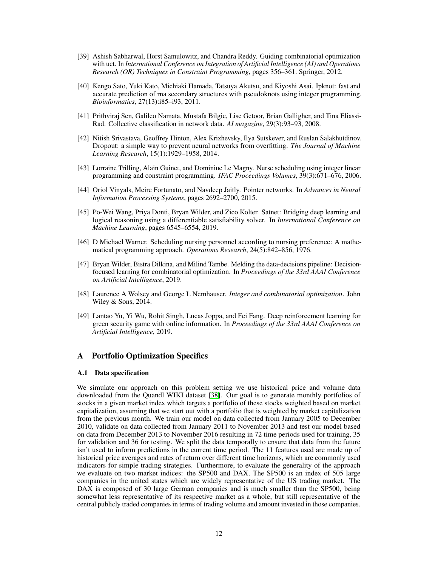- <span id="page-11-7"></span>[39] Ashish Sabharwal, Horst Samulowitz, and Chandra Reddy. Guiding combinatorial optimization with uct. In *International Conference on Integration of Artificial Intelligence (AI) and Operations Research (OR) Techniques in Constraint Programming*, pages 356–361. Springer, 2012.
- <span id="page-11-0"></span>[40] Kengo Sato, Yuki Kato, Michiaki Hamada, Tatsuya Akutsu, and Kiyoshi Asai. Ipknot: fast and accurate prediction of rna secondary structures with pseudoknots using integer programming. *Bioinformatics*, 27(13):i85–i93, 2011.
- <span id="page-11-5"></span>[41] Prithviraj Sen, Galileo Namata, Mustafa Bilgic, Lise Getoor, Brian Galligher, and Tina Eliassi-Rad. Collective classification in network data. *AI magazine*, 29(3):93–93, 2008.
- <span id="page-11-6"></span>[42] Nitish Srivastava, Geoffrey Hinton, Alex Krizhevsky, Ilya Sutskever, and Ruslan Salakhutdinov. Dropout: a simple way to prevent neural networks from overfitting. *The Journal of Machine Learning Research*, 15(1):1929–1958, 2014.
- <span id="page-11-1"></span>[43] Lorraine Trilling, Alain Guinet, and Dominiue Le Magny. Nurse scheduling using integer linear programming and constraint programming. *IFAC Proceedings Volumes*, 39(3):671–676, 2006.
- <span id="page-11-8"></span>[44] Oriol Vinyals, Meire Fortunato, and Navdeep Jaitly. Pointer networks. In *Advances in Neural Information Processing Systems*, pages 2692–2700, 2015.
- <span id="page-11-10"></span>[45] Po-Wei Wang, Priya Donti, Bryan Wilder, and Zico Kolter. Satnet: Bridging deep learning and logical reasoning using a differentiable satisfiability solver. In *International Conference on Machine Learning*, pages 6545–6554, 2019.
- <span id="page-11-2"></span>[46] D Michael Warner. Scheduling nursing personnel according to nursing preference: A mathematical programming approach. *Operations Research*, 24(5):842–856, 1976.
- <span id="page-11-3"></span>[47] Bryan Wilder, Bistra Dilkina, and Milind Tambe. Melding the data-decisions pipeline: Decisionfocused learning for combinatorial optimization. In *Proceedings of the 33rd AAAI Conference on Artificial Intelligence*, 2019.
- <span id="page-11-4"></span>[48] Laurence A Wolsey and George L Nemhauser. *Integer and combinatorial optimization*. John Wiley & Sons, 2014.
- <span id="page-11-9"></span>[49] Lantao Yu, Yi Wu, Rohit Singh, Lucas Joppa, and Fei Fang. Deep reinforcement learning for green security game with online information. In *Proceedings of the 33rd AAAI Conference on Artificial Intelligence*, 2019.

## A Portfolio Optimization Specifics

### A.1 Data specification

We simulate our approach on this problem setting we use historical price and volume data downloaded from the Quandl WIKI dataset [\[38\]](#page-10-5). Our goal is to generate monthly portfolios of stocks in a given market index which targets a portfolio of these stocks weighted based on market capitalization, assuming that we start out with a portfolio that is weighted by market capitalization from the previous month. We train our model on data collected from January 2005 to December 2010, validate on data collected from January 2011 to November 2013 and test our model based on data from December 2013 to November 2016 resulting in 72 time periods used for training, 35 for validation and 36 for testing. We split the data temporally to ensure that data from the future isn't used to inform predictions in the current time period. The 11 features used are made up of historical price averages and rates of return over different time horizons, which are commonly used indicators for simple trading strategies. Furthermore, to evaluate the generality of the approach we evaluate on two market indices: the SP500 and DAX. The SP500 is an index of 505 large companies in the united states which are widely representative of the US trading market. The DAX is composed of 30 large German companies and is much smaller than the SP500, being somewhat less representative of its respective market as a whole, but still representative of the central publicly traded companies in terms of trading volume and amount invested in those companies.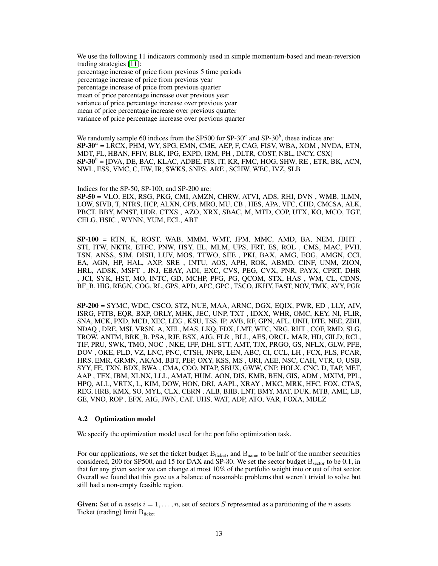We use the following 11 indicators commonly used in simple momentum-based and mean-reversion trading strategies [\[11\]](#page-9-18):

percentage increase of price from previous 5 time periods

percentage increase of price from previous year

percentage increase of price from previous quarter

mean of price percentage increase over previous year

variance of price percentage increase over previous year

mean of price percentage increase over previous quarter

variance of price percentage increase over previous quarter

We randomly sample 60 indices from the SP500 for SP-30 $^a$  and SP-30 $^b$ , these indices are:  $\mathbf{S} \mathbf{P}\text{-}30^a = \text{L}\text{R}\text{C}\text{X}$ ,  $\text{PHM}, \text{W}\text{Y}$ ,  $\text{SPG}, \text{EMN}, \text{CME}, \text{AEP}, \text{F}, \text{CAG}, \text{FISV}, \text{WBA}, \text{XOM}, \text{NVDA}, \text{ETN},$ MDT, FL, HBAN, FFIV, BLK, IPG, EXPD, IRM, PH , DLTR, COST, NBL, INCY, CSX]  $\mathbf{S} \mathbf{P} \cdot \mathbf{30}^b = [\text{DVA}, \text{DE}, \text{BAC}, \text{KLAC}, \text{ADBE}, \text{FIS}, \text{IT}, \text{KR}, \text{FMC}, \text{HOG}, \text{SHW}, \text{RE}, \text{ETR}, \text{BK}, \text{ACN},$ NWL, ESS, VMC, C, EW, IR, SWKS, SNPS, ARE , SCHW, WEC, IVZ, SLB

### Indices for the SP-50, SP-100, and SP-200 are:

SP-50 = VLO, EIX, RSG, PKG, CMI, AMZN, CHRW, ATVI, ADS, RHI, DVN , WMB, ILMN, LOW, SIVB, T, NTRS, HCP, ALXN, CPB, MRO, MU, CB , HES, APA, VFC, CHD, CMCSA, ALK, PBCT, BBY, MNST, UDR, CTXS , AZO, XRX, SBAC, M, MTD, COP, UTX, KO, MCO, TGT, CELG, HSIC , WYNN, YUM, ECL, ABT

SP-100 = RTN, K, ROST, WAB, MMM, WMT, JPM, MMC, AMD, BA, NEM, JBHT , STI, ITW, NKTR, ETFC, PNW, HSY, EL, MLM, UPS, FRT, ES, ROL , CMS, MAC, PVH, TSN, ANSS, SJM, DISH, LUV, MOS, TTWO, SEE , PKI, BAX, AMG, EOG, AMGN, CCI, EA, AGN, HP, HAL, AXP, SRE , INTU, AOS, APH, ROK, ABMD, CINF, UNM, ZION, HRL, ADSK, MSFT , JNJ, EBAY, ADI, EXC, CVS, PEG, CVX, PNR, PAYX, CPRT, DHR , JCI, SYK, HST, MO, INTC, GD, MCHP, PFG, PG, QCOM, STX, HAS , WM, CL, CDNS, BF\_B, HIG, REGN, COG, RL, GPS, APD, APC, GPC , TSCO, JKHY, FAST, NOV, TMK, AVY, PGR

SP-200 = SYMC, WDC, CSCO, STZ, NUE, MAA, ARNC, DGX, EQIX, PWR, ED , LLY, AIV, ISRG, FITB, EQR, BXP, ORLY, MHK, JEC, UNP, TXT , IDXX, WHR, OMC, KEY, NI, FLIR, SNA, MCK, PXD, MCD, XEC, LEG , KSU, TSS, IP, AVB, RF, GPN, AFL, UNH, DTE, NEE, ZBH, NDAQ , DRE, MSI, VRSN, A, XEL, MAS, LKQ, FDX, LMT, WFC, NRG, RHT , COF, RMD, SLG, TROW, ANTM, BRK\_B, PSA, RJF, BSX, AJG, FLR , BLL, AES, ORCL, MAR, HD, GILD, RCL, TIF, PRU, SWK, TMO, NOC , NKE, IFF, DHI, STT, AMT, TJX, PRGO, GS, NFLX, GLW, PFE, DOV , OKE, PLD, VZ, LNC, PNC, CTSH, JNPR, LEN, ABC, CI, CCL, LH , FCX, FLS, PCAR, HRS, EMR, GRMN, AKAM, BBT, PEP, OXY, KSS, MS , URI, AEE, NSC, CAH, VTR, O, USB, SYY, FE, TXN, BDX, BWA , CMA, COO, NTAP, SBUX, GWW, CNP, HOLX, CNC, D, TAP, MET, AAP , TFX, IBM, XLNX, LLL, AMAT, HUM, AON, DIS, KMB, BEN, GIS, ADM , MXIM, PPL, HPQ, ALL, VRTX, L, KIM, DOW, HON, DRI, AAPL, XRAY , MKC, MRK, HFC, FOX, CTAS, REG, HRB, KMX, SO, MYL, CLX, CERN , ALB, BIIB, LNT, BMY, MAT, DUK, MTB, AME, LB, GE, VNO, ROP , EFX, AIG, JWN, CAT, UHS, WAT, ADP, ATO, VAR, FOXA, MDLZ

#### A.2 Optimization model

We specify the optimization model used for the portfolio optimization task.

For our applications, we set the ticket budget  $B_{\text{ticket}}$ , and  $B_{\text{name}}$  to be half of the number securities considered, 200 for SP500, and 15 for DAX and SP-30. We set the sector budget  $B_{\text{sector}}$  to be 0.1, in that for any given sector we can change at most 10% of the portfolio weight into or out of that sector. Overall we found that this gave us a balance of reasonable problems that weren't trivial to solve but still had a non-empty feasible region.

**Given:** Set of n assets  $i = 1, \ldots, n$ , set of sectors S represented as a partitioning of the n assets Ticket (trading) limit  $B_{\text{ticket}}$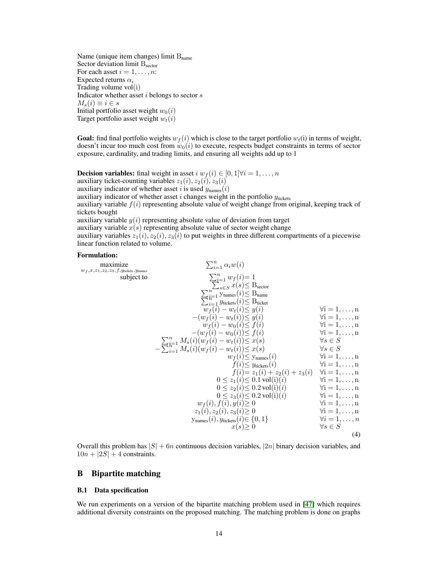Name (unique item changes) limit  $B<sub>name</sub>$ Sector deviation limit  $B<sub>sector</sub>$ For each asset  $i = 1, \ldots, n$ : Expected returns  $\alpha_i$ Trading volume vol(i) Indicator whether asset  $i$  belongs to sector  $s$  $M_s(i) \equiv i \in s$ Initial portfolio asset weight  $w_0(i)$ Target portfolio asset weight  $w_t(i)$ 

**Goal:** find final portfolio weights  $w_f(i)$  which is close to the target portfolio  $w_f(i)$  in terms of weight, doesn't incur too much cost from  $w_0(i)$  to execute, respects budget constraints in terms of sector exposure, cardinality, and trading limits, and ensuring all weights add up to 1

**Decision variables:** final weight in asset  $i w_f(i) \in [0, 1] \forall i = 1, \ldots, n$ auxiliary ticket-counting variables  $z_1(i)$ ,  $z_2(i)$ ,  $z_3(i)$ 

auxiliary indicator of whether asset i is used  $y_{\text{names}}(i)$ 

auxiliary indicator of whether asset  $i$  changes weight in the portfolio  $y_{\text{tickets}}$ 

auxiliary variable  $f(i)$  representing absolute value of weight change from original, keeping track of tickets bought

auxiliary variable  $y(i)$  representing absolute value of deviation from target

auxiliary variable  $x(s)$  representing absolute value of sector weight change

auxiliary variables  $z_1(i)$ ,  $z_2(i)$ ,  $z_3(i)$  to put weights in three different compartments of a piecewise linear function related to volume.

### Formulation:

| maximize<br>$w_f, x, z_1, z_2, z_3, f, y_{\text{tickets}}, y_{\text{names}}$ | $\sum_{i=1}^n \alpha_i w(i)$                                                                                                                                          |                                        |
|------------------------------------------------------------------------------|-----------------------------------------------------------------------------------------------------------------------------------------------------------------------|----------------------------------------|
| subject to                                                                   | $\begin{array}{c}\sum_{i=1}^n w_f(i) = 1\\ \sum_{s\in S}^n x(s) \leq \text{B}_{\text{sector}}\\ \sum_{i=1}^n \text{Ynames}(i) \leq \text{B}_{\text{name}}\end{array}$ |                                        |
|                                                                              |                                                                                                                                                                       |                                        |
|                                                                              |                                                                                                                                                                       |                                        |
|                                                                              | $\sum_{i=1}^{n} y_{\text{tickets}}(i) \leq B_{\text{tickets}}$                                                                                                        |                                        |
|                                                                              | $w_f(i) - w_t(i) \leq y(i)$                                                                                                                                           | $\forall i = 1, \ldots, n$             |
|                                                                              | $-(w_f(i) - w_t(i)) \leq y(i)$                                                                                                                                        | $\forall i = 1, \ldots, n$             |
|                                                                              | $w_f(i) - w_0(i) \leq f(i)$                                                                                                                                           | $\forall i = 1, \ldots, n$             |
|                                                                              | $-(w_f(i) - w_0(i)) \leq f(i)$                                                                                                                                        | $\forall i = 1, \ldots, n$             |
|                                                                              | $-\sum_{i=1}^n \frac{M_s(i)(w_f(i) - w_t(i)) \leq x(s)}{M_s(i)(w_f(i) - w_t(i)) \leq x(s)}$                                                                           | $\forall s \in S$<br>$\forall s \in S$ |
|                                                                              | $w_f(i) \leq y_{\text{names}}(i)$                                                                                                                                     | $\forall i = 1, \ldots, n$             |
|                                                                              | $f(i) \leq y_{\text{tickets}}(i)$                                                                                                                                     | $\forall i = 1, \ldots, n$             |
|                                                                              | $f(i) = z_1(i) + z_2(i) + z_3(i)$ $\forall i = 1, , n$                                                                                                                |                                        |
|                                                                              | $0 \leq z_1(i) \leq 0.1 \text{ vol}(i)(i)$                                                                                                                            | $\forall i = 1, \ldots, n$             |
|                                                                              | $0 \leq z_2(i) \leq 0.2 \text{ vol}(i)(i)$                                                                                                                            | $\forall i = 1, \ldots, n$             |
|                                                                              | $0 \leq z_3(i) \leq 0.2$ vol(i)(i)                                                                                                                                    | $\forall i = 1, \ldots, n$             |
|                                                                              | $w_f(i), f(i), y(i) \ge 0$                                                                                                                                            | $\forall i = 1, \ldots, n$             |
|                                                                              | $z_1(i), z_2(i), z_3(i) \geq 0$                                                                                                                                       | $\forall i = 1, \ldots, n$             |
|                                                                              | $y_{\text{names}}(i), y_{\text{tickets}}(i) \in \{0, 1\}$                                                                                                             | $\forall i=1,\ldots,n$                 |
|                                                                              | $x(s) \geq 0$                                                                                                                                                         | $\forall s \in S$                      |
|                                                                              |                                                                                                                                                                       | (4)                                    |

Overall this problem has  $|S| + 6n$  continuous decision variables,  $|2n|$  binary decision variables, and  $10n + |2S| + 4$  constraints.

### B Bipartite matching

#### B.1 Data specification

We run experiments on a version of the bipartite matching problem used in [\[47\]](#page-11-3) which requires additional diversity constraints on the proposed matching. The matching problem is done on graphs